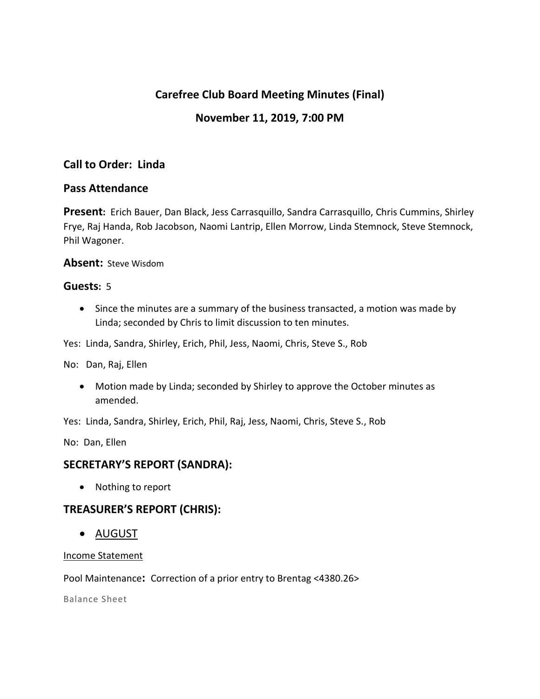# **Carefree Club Board Meeting Minutes (Final)**

# **November 11, 2019, 7:00 PM**

# **Call to Order: Linda**

## **Pass Attendance**

**Present:** Erich Bauer, Dan Black, Jess Carrasquillo, Sandra Carrasquillo, Chris Cummins, Shirley Frye, Raj Handa, Rob Jacobson, Naomi Lantrip, Ellen Morrow, Linda Stemnock, Steve Stemnock, Phil Wagoner.

### **Absent:** Steve Wisdom

### **Guests:** 5

 Since the minutes are a summary of the business transacted, a motion was made by Linda; seconded by Chris to limit discussion to ten minutes.

Yes: Linda, Sandra, Shirley, Erich, Phil, Jess, Naomi, Chris, Steve S., Rob

No: Dan, Raj, Ellen

 Motion made by Linda; seconded by Shirley to approve the October minutes as amended.

Yes: Linda, Sandra, Shirley, Erich, Phil, Raj, Jess, Naomi, Chris, Steve S., Rob

No: Dan, Ellen

# **SECRETARY'S REPORT (SANDRA):**

• Nothing to report

## **TREASURER'S REPORT (CHRIS):**

AUGUST

### Income Statement

Pool Maintenance**:** Correction of a prior entry to Brentag <4380.26>

Balance Sheet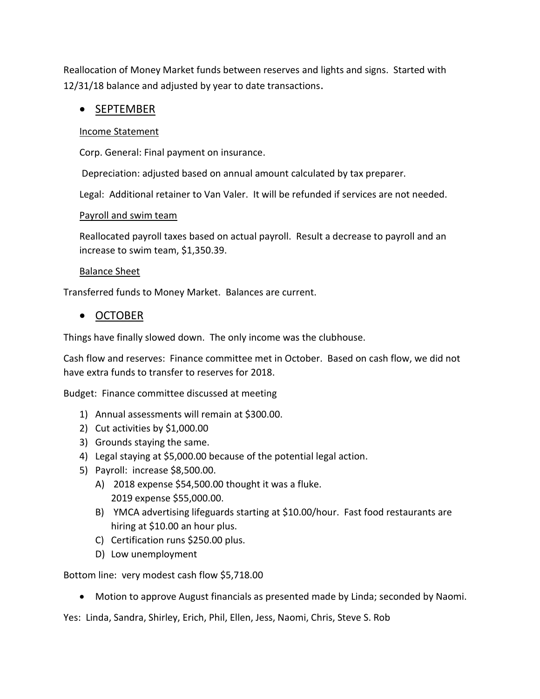Reallocation of Money Market funds between reserves and lights and signs. Started with 12/31/18 balance and adjusted by year to date transactions.

# • SEPTEMBER

### Income Statement

Corp. General: Final payment on insurance.

Depreciation: adjusted based on annual amount calculated by tax preparer.

Legal: Additional retainer to Van Valer. It will be refunded if services are not needed.

### Payroll and swim team

Reallocated payroll taxes based on actual payroll. Result a decrease to payroll and an increase to swim team, \$1,350.39.

### Balance Sheet

Transferred funds to Money Market. Balances are current.

## • OCTOBER

Things have finally slowed down. The only income was the clubhouse.

Cash flow and reserves: Finance committee met in October. Based on cash flow, we did not have extra funds to transfer to reserves for 2018.

Budget: Finance committee discussed at meeting

- 1) Annual assessments will remain at \$300.00.
- 2) Cut activities by \$1,000.00
- 3) Grounds staying the same.
- 4) Legal staying at \$5,000.00 because of the potential legal action.
- 5) Payroll: increase \$8,500.00.
	- A) 2018 expense \$54,500.00 thought it was a fluke. 2019 expense \$55,000.00.
	- B) YMCA advertising lifeguards starting at \$10.00/hour. Fast food restaurants are hiring at \$10.00 an hour plus.
	- C) Certification runs \$250.00 plus.
	- D) Low unemployment

Bottom line: very modest cash flow \$5,718.00

Motion to approve August financials as presented made by Linda; seconded by Naomi.

Yes: Linda, Sandra, Shirley, Erich, Phil, Ellen, Jess, Naomi, Chris, Steve S. Rob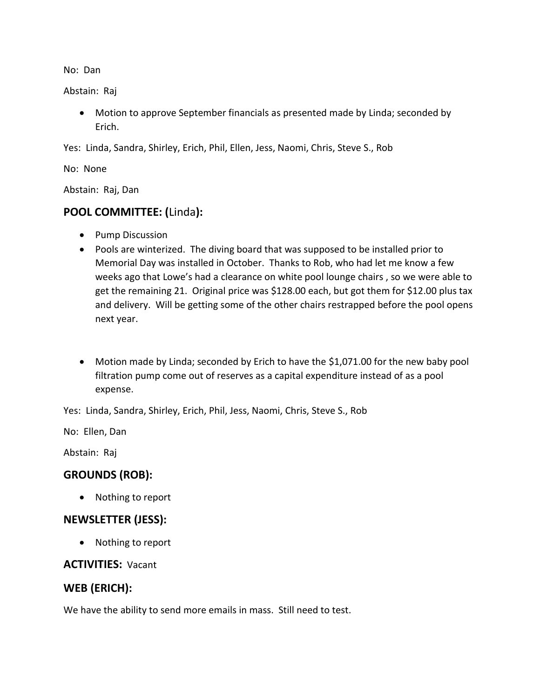No: Dan

Abstain: Raj

 Motion to approve September financials as presented made by Linda; seconded by Erich.

Yes: Linda, Sandra, Shirley, Erich, Phil, Ellen, Jess, Naomi, Chris, Steve S., Rob

No: None

Abstain: Raj, Dan

# **POOL COMMITTEE: (**Linda**):**

- Pump Discussion
- Pools are winterized. The diving board that was supposed to be installed prior to Memorial Day was installed in October. Thanks to Rob, who had let me know a few weeks ago that Lowe's had a clearance on white pool lounge chairs , so we were able to get the remaining 21. Original price was \$128.00 each, but got them for \$12.00 plus tax and delivery. Will be getting some of the other chairs restrapped before the pool opens next year.
- Motion made by Linda; seconded by Erich to have the \$1,071.00 for the new baby pool filtration pump come out of reserves as a capital expenditure instead of as a pool expense.

Yes: Linda, Sandra, Shirley, Erich, Phil, Jess, Naomi, Chris, Steve S., Rob

No: Ellen, Dan

Abstain: Raj

# **GROUNDS (ROB):**

• Nothing to report

## **NEWSLETTER (JESS):**

• Nothing to report

## **ACTIVITIES:** Vacant

## **WEB (ERICH):**

We have the ability to send more emails in mass. Still need to test.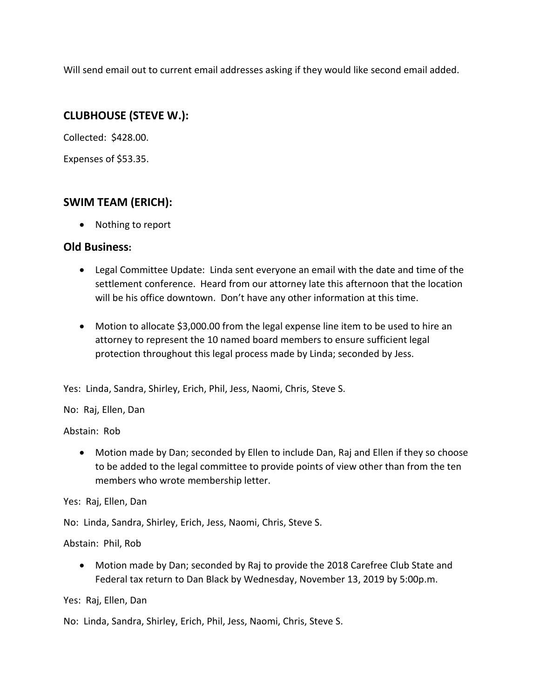Will send email out to current email addresses asking if they would like second email added.

# **CLUBHOUSE (STEVE W.):**

Collected: \$428.00.

Expenses of \$53.35.

# **SWIM TEAM (ERICH):**

• Nothing to report

## **Old Business:**

- Legal Committee Update: Linda sent everyone an email with the date and time of the settlement conference. Heard from our attorney late this afternoon that the location will be his office downtown. Don't have any other information at this time.
- Motion to allocate \$3,000.00 from the legal expense line item to be used to hire an attorney to represent the 10 named board members to ensure sufficient legal protection throughout this legal process made by Linda; seconded by Jess.

Yes: Linda, Sandra, Shirley, Erich, Phil, Jess, Naomi, Chris, Steve S.

## No: Raj, Ellen, Dan

Abstain: Rob

 Motion made by Dan; seconded by Ellen to include Dan, Raj and Ellen if they so choose to be added to the legal committee to provide points of view other than from the ten members who wrote membership letter.

Yes: Raj, Ellen, Dan

No: Linda, Sandra, Shirley, Erich, Jess, Naomi, Chris, Steve S.

Abstain: Phil, Rob

 Motion made by Dan; seconded by Raj to provide the 2018 Carefree Club State and Federal tax return to Dan Black by Wednesday, November 13, 2019 by 5:00p.m.

Yes: Raj, Ellen, Dan

No: Linda, Sandra, Shirley, Erich, Phil, Jess, Naomi, Chris, Steve S.